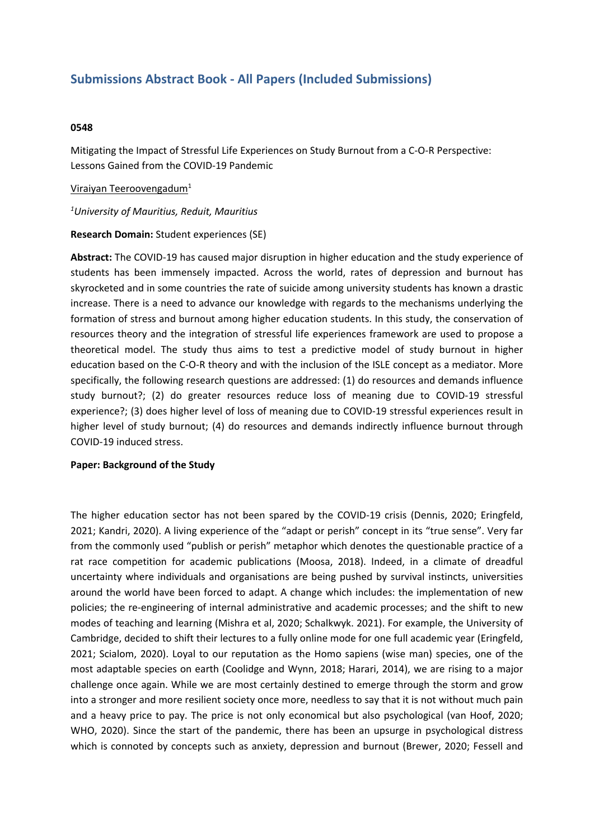# **Submissions Abstract Book - All Papers (Included Submissions)**

#### **0548**

Mitigating the Impact of Stressful Life Experiences on Study Burnout from <sup>a</sup> C-O-R Perspective: Lessons Gained from the COVID-19 Pandemic

## Viraiyan Teeroovengadum<sup>1</sup>

*1 University of Mauritius, Reduit, Mauritius*

## **Research Domain:** Student experiences (SE)

**Abstract:** The COVID-19 has caused major disruption in higher education and the study experience of students has been immensely impacted. Across the world, rates of depression and burnout has skyrocketed and in some countries the rate of suicide among university students has known <sup>a</sup> drastic increase. There is <sup>a</sup> need to advance our knowledge with regards to the mechanisms underlying the formation of stress and burnout among higher education students. In this study, the conservation of resources theory and the integration of stressful life experiences framework are used to propose <sup>a</sup> theoretical model. The study thus aims to test <sup>a</sup> predictive model of study burnout in higher education based on the C-O-R theory and with the inclusion of the ISLE concept as <sup>a</sup> mediator. More specifically, the following research questions are addressed: (1) do resources and demands influence study burnout?; (2) do greater resources reduce loss of meaning due to COVID-19 stressful experience?; (3) does higher level of loss of meaning due to COVID-19 stressful experiences result in higher level of study burnout; (4) do resources and demands indirectly influence burnout through COVID-19 induced stress.

## **Paper: Background of the Study**

The higher education sector has not been spared by the COVID-19 crisis (Dennis, 2020; Eringfeld, 2021; Kandri, 2020). A living experience of the "adapt or perish" concept in its "true sense". Very far from the commonly used "publish or perish" metaphor which denotes the questionable practice of <sup>a</sup> rat race competition for academic publications (Moosa, 2018). Indeed, in <sup>a</sup> climate of dreadful uncertainty where individuals and organisations are being pushed by survival instincts, universities around the world have been forced to adapt. A change which includes: the implementation of new policies; the re-engineering of internal administrative and academic processes; and the shift to new modes of teaching and learning (Mishra et al, 2020; Schalkwyk. 2021). For example, the University of Cambridge, decided to shift their lectures to <sup>a</sup> fully online mode for one full academic year (Eringfeld, 2021; Scialom, 2020). Loyal to our reputation as the Homo sapiens (wise man) species, one of the most adaptable species on earth (Coolidge and Wynn, 2018; Harari, 2014), we are rising to <sup>a</sup> major challenge once again. While we are most certainly destined to emerge through the storm and grow into <sup>a</sup> stronger and more resilient society once more, needless to say that it is not without much pain and <sup>a</sup> heavy price to pay. The price is not only economical but also psychological (van Hoof, 2020; WHO, 2020). Since the start of the pandemic, there has been an upsurge in psychological distress which is connoted by concepts such as anxiety, depression and burnout (Brewer, 2020; Fessell and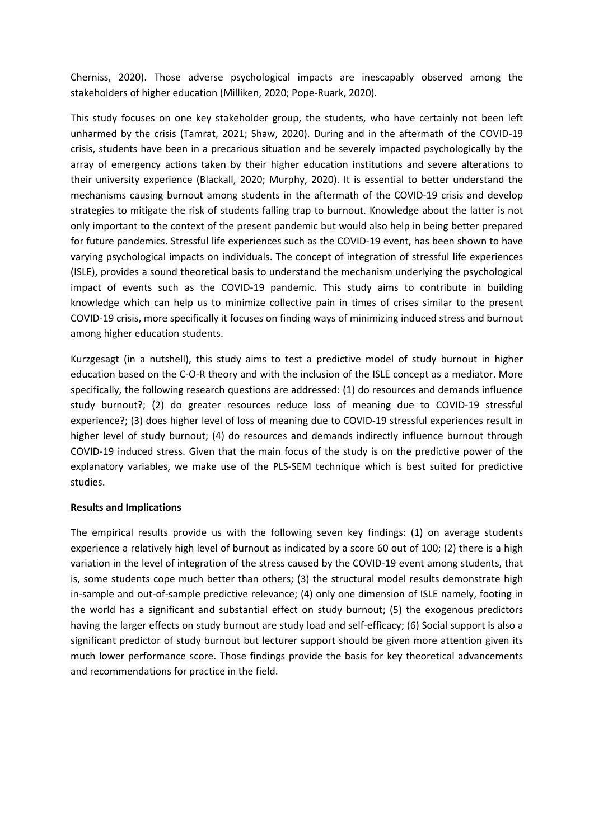Cherniss, 2020). Those adverse psychological impacts are inescapably observed among the stakeholders of higher education (Milliken, 2020; Pope-Ruark, 2020).

This study focuses on one key stakeholder group, the students, who have certainly not been left unharmed by the crisis (Tamrat, 2021; Shaw, 2020). During and in the aftermath of the COVID-19 crisis, students have been in <sup>a</sup> precarious situation and be severely impacted psychologically by the array of emergency actions taken by their higher education institutions and severe alterations to their university experience (Blackall, 2020; Murphy, 2020). It is essential to better understand the mechanisms causing burnout among students in the aftermath of the COVID-19 crisis and develop strategies to mitigate the risk of students falling trap to burnout. Knowledge about the latter is not only important to the context of the present pandemic but would also help in being better prepared for future pandemics. Stressful life experiences such as the COVID-19 event, has been shown to have varying psychological impacts on individuals. The concept of integration of stressful life experiences (ISLE), provides <sup>a</sup> sound theoretical basis to understand the mechanism underlying the psychological impact of events such as the COVID-19 pandemic. This study aims to contribute in building knowledge which can help us to minimize collective pain in times of crises similar to the present COVID-19 crisis, more specifically it focuses on finding ways of minimizing induced stress and burnout among higher education students.

Kurzgesagt (in <sup>a</sup> nutshell), this study aims to test <sup>a</sup> predictive model of study burnout in higher education based on the C-O-R theory and with the inclusion of the ISLE concept as <sup>a</sup> mediator. More specifically, the following research questions are addressed: (1) do resources and demands influence study burnout?; (2) do greater resources reduce loss of meaning due to COVID-19 stressful experience?; (3) does higher level of loss of meaning due to COVID-19 stressful experiences result in higher level of study burnout; (4) do resources and demands indirectly influence burnout through COVID-19 induced stress. Given that the main focus of the study is on the predictive power of the explanatory variables, we make use of the PLS-SEM technique which is best suited for predictive studies.

## **Results and Implications**

The empirical results provide us with the following seven key findings: (1) on average students experience <sup>a</sup> relatively high level of burnout as indicated by <sup>a</sup> score 60 out of 100; (2) there is <sup>a</sup> high variation in the level of integration of the stress caused by the COVID-19 event among students, that is, some students cope much better than others; (3) the structural model results demonstrate high in-sample and out-of-sample predictive relevance; (4) only one dimension of ISLE namely, footing in the world has <sup>a</sup> significant and substantial effect on study burnout; (5) the exogenous predictors having the larger effects on study burnout are study load and self-efficacy; (6) Social support is also <sup>a</sup> significant predictor of study burnout but lecturer support should be given more attention given its much lower performance score. Those findings provide the basis for key theoretical advancements and recommendations for practice in the field.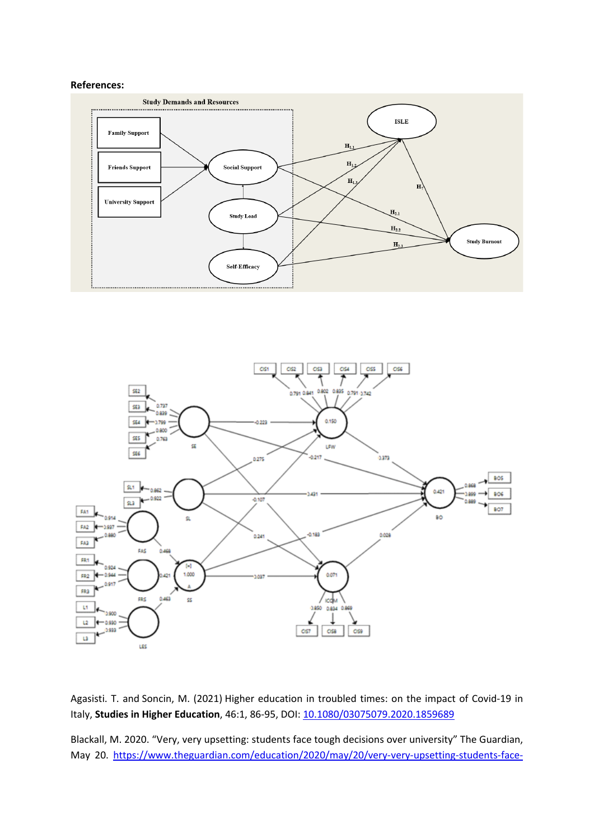#### **References:**





Agasisti. T. and Soncin, M. (2021) Higher education in troubled times: on the impact of Covid-19 in Italy, **Studies in Higher Education**, 46:1, 86-95, DOI: [10.1080/03075079.2020.1859689](https://doi.org/10.1080/03075079.2020.1859689)

Blackall, M. 2020. "Very, very upsetting: students face tough decisions over university" The Guardian, May 20. [https://www.theguardian.com/education/2020/may/20/very-very-upsetting-students-face-](https://www.theguardian.com/education/2020/may/20/very-very-upsetting-students-face-tough-decisions-over-university)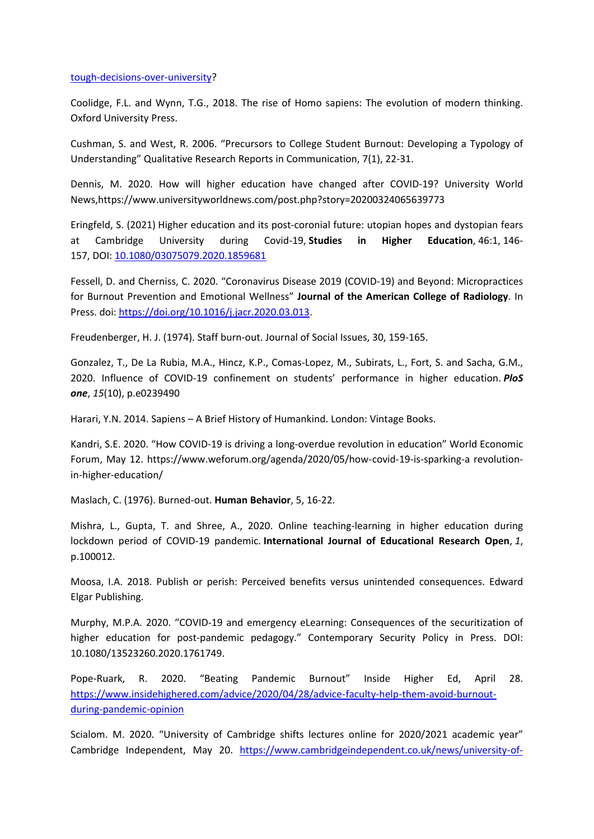#### [tough-decisions-over-university](https://www.theguardian.com/education/2020/may/20/very-very-upsetting-students-face-tough-decisions-over-university)?

Coolidge, F.L. and Wynn, T.G., 2018. The rise of Homo sapiens: The evolution of modern thinking. Oxford University Press.

Cushman, S. and West, R. 2006. "Precursors to College Student Burnout: Developing <sup>a</sup> Typology of Understanding" Qualitative Research Reports in Communication, 7(1), 22-31.

Dennis, M. 2020. How will higher education have changed after COVID-19? University World News,https://www.universityworldnews.com/post.php?story=20200324065639773

Eringfeld, S. (2021) Higher education and its post-coronial future: utopian hopes and dystopian fears at Cambridge University during Covid-19, **Studies in Higher Education**, 46:1, 146- 157, DOI: [10.1080/03075079.2020.1859681](https://doi.org/10.1080/03075079.2020.1859681)

Fessell, D. and Cherniss, C. 2020. "Coronavirus Disease 2019 (COVID-19) and Beyond: Micropractices for Burnout Prevention and Emotional Wellness" **Journal of the American College of Radiology**. In Press. doi: <https://doi.org/10.1016/j.jacr.2020.03.013>.

Freudenberger, H. J. (1974). Staff burn-out. Journal of Social Issues, 30, 159-165.

Gonzalez, T., De La Rubia, M.A., Hincz, K.P., Comas-Lopez, M., Subirats, L., Fort, S. and Sacha, G.M., 2020. Influence of COVID-19 confinement on students' performance in higher education. *PloS one*, *15*(10), p.e0239490

Harari, Y.N. 2014. Sapiens – A Brief History of Humankind. London: Vintage Books.

Kandri, S.E. 2020. "How COVID-19 is driving <sup>a</sup> long-overdue revolution in education" World Economic Forum, May 12. https://www.weforum.org/agenda/2020/05/how-covid-19-is-sparking-a revolutionin-higher-education/

Maslach, C. (1976). Burned-out. **Human Behavior**, 5, 16-22.

Mishra, L., Gupta, T. and Shree, A., 2020. Online teaching-learning in higher education during lockdown period of COVID-19 pandemic. **International Journal of Educational Research Open**, *1*, p.100012.

Moosa, I.A. 2018. Publish or perish: Perceived benefits versus unintended consequences. Edward Elgar Publishing.

Murphy, M.P.A. 2020. "COVID-19 and emergency eLearning: Consequences of the securitization of higher education for post-pandemic pedagogy." Contemporary Security Policy in Press. DOI: 10.1080/13523260.2020.1761749.

Pope-Ruark, R. 2020. "Beating Pandemic Burnout" Inside Higher Ed, April 28. [https://www.insidehighered.com/advice/2020/04/28/advice-faculty-help-them-avoid-burnout](https://www.insidehighered.com/advice/2020/04/28/advice-faculty-help-them-avoid-burnout-during-pandemic-opinion)[during-pandemic-opinion](https://www.insidehighered.com/advice/2020/04/28/advice-faculty-help-them-avoid-burnout-during-pandemic-opinion)

Scialom. M. 2020. "University of Cambridge shifts lectures online for 2020/2021 academic year" Cambridge Independent, May 20. [https://www.cambridgeindependent.co.uk/news/university-of-](https://www.cambridgeindependent.co.uk/news/university-of-cambridge-shifts-lectures-online-for-2020-2021-academic-year-9110336)